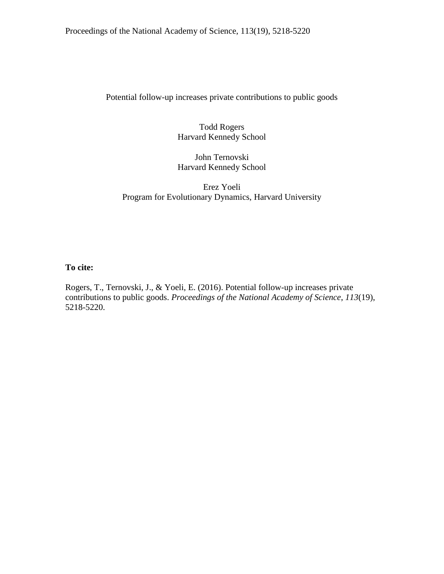Potential follow-up increases private contributions to public goods

Todd Rogers Harvard Kennedy School

John Ternovski Harvard Kennedy School

Erez Yoeli Program for Evolutionary Dynamics, Harvard University

#### **To cite:**

Rogers, T., Ternovski, J., & Yoeli, E. (2016). Potential follow-up increases private contributions to public goods. *Proceedings of the National Academy of Science*, *113*(19), 5218-5220.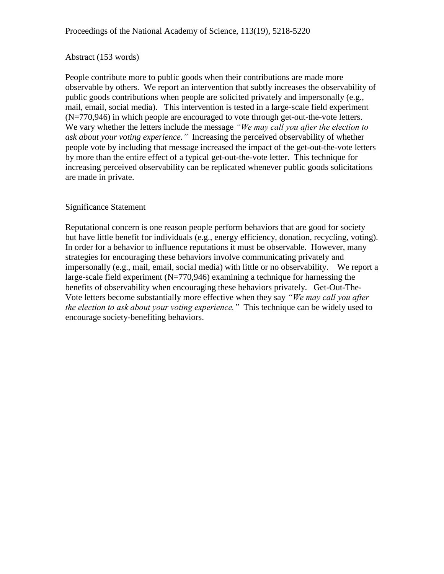#### Abstract (153 words)

People contribute more to public goods when their contributions are made more observable by others. We report an intervention that subtly increases the observability of public goods contributions when people are solicited privately and impersonally (e.g., mail, email, social media). This intervention is tested in a large-scale field experiment (N=770,946) in which people are encouraged to vote through get-out-the-vote letters. We vary whether the letters include the message *"We may call you after the election to ask about your voting experience."* Increasing the perceived observability of whether people vote by including that message increased the impact of the get-out-the-vote letters by more than the entire effect of a typical get-out-the-vote letter. This technique for increasing perceived observability can be replicated whenever public goods solicitations are made in private.

#### Significance Statement

Reputational concern is one reason people perform behaviors that are good for society but have little benefit for individuals (e.g., energy efficiency, donation, recycling, voting). In order for a behavior to influence reputations it must be observable. However, many strategies for encouraging these behaviors involve communicating privately and impersonally (e.g., mail, email, social media) with little or no observability. We report a large-scale field experiment  $(N=770,946)$  examining a technique for harnessing the benefits of observability when encouraging these behaviors privately. Get-Out-The-Vote letters become substantially more effective when they say *"We may call you after the election to ask about your voting experience."* This technique can be widely used to encourage society-benefiting behaviors.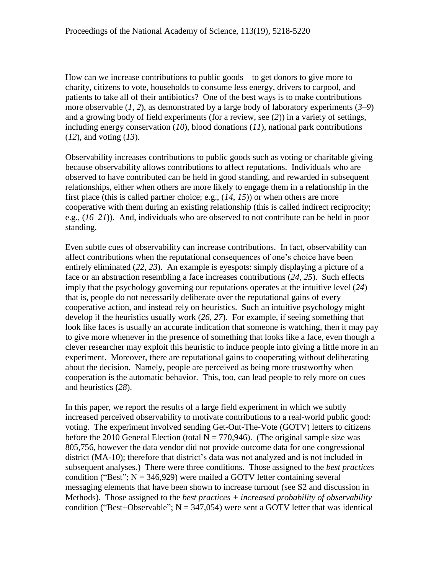How can we increase contributions to public goods—to get donors to give more to charity, citizens to vote, households to consume less energy, drivers to carpool, and patients to take all of their antibiotics? One of the best ways is to make contributions more observable (*1*, *2*), as demonstrated by a large body of laboratory experiments (*3*–*9*) and a growing body of field experiments (for a review, see (*2*)) in a variety of settings, including energy conservation (*10*), blood donations (*11*), national park contributions (*12*), and voting (*13*).

Observability increases contributions to public goods such as voting or charitable giving because observability allows contributions to affect reputations. Individuals who are observed to have contributed can be held in good standing, and rewarded in subsequent relationships, either when others are more likely to engage them in a relationship in the first place (this is called partner choice; e.g., (*14*, *15*)) or when others are more cooperative with them during an existing relationship (this is called indirect reciprocity; e.g., (*16*–*21*)). And, individuals who are observed to not contribute can be held in poor standing.

Even subtle cues of observability can increase contributions. In fact, observability can affect contributions when the reputational consequences of one's choice have been entirely eliminated (*22*, *23*). An example is eyespots: simply displaying a picture of a face or an abstraction resembling a face increases contributions (*24*, *25*). Such effects imply that the psychology governing our reputations operates at the intuitive level (*24*) that is, people do not necessarily deliberate over the reputational gains of every cooperative action, and instead rely on heuristics. Such an intuitive psychology might develop if the heuristics usually work (*26*, *27*). For example, if seeing something that look like faces is usually an accurate indication that someone is watching, then it may pay to give more whenever in the presence of something that looks like a face, even though a clever researcher may exploit this heuristic to induce people into giving a little more in an experiment. Moreover, there are reputational gains to cooperating without deliberating about the decision. Namely, people are perceived as being more trustworthy when cooperation is the automatic behavior. This, too, can lead people to rely more on cues and heuristics (*28*).

In this paper, we report the results of a large field experiment in which we subtly increased perceived observability to motivate contributions to a real-world public good: voting. The experiment involved sending Get-Out-The-Vote (GOTV) letters to citizens before the 2010 General Election (total  $N = 770,946$ ). (The original sample size was 805,756, however the data vendor did not provide outcome data for one congressional district (MA-10); therefore that district's data was not analyzed and is not included in subsequent analyses.) There were three conditions. Those assigned to the *best practices*  condition ("Best";  $N = 346,929$ ) were mailed a GOTV letter containing several messaging elements that have been shown to increase turnout (see S2 and discussion in Methods). Those assigned to the *best practices + increased probability of observability* condition ("Best+Observable";  $N = 347,054$ ) were sent a GOTV letter that was identical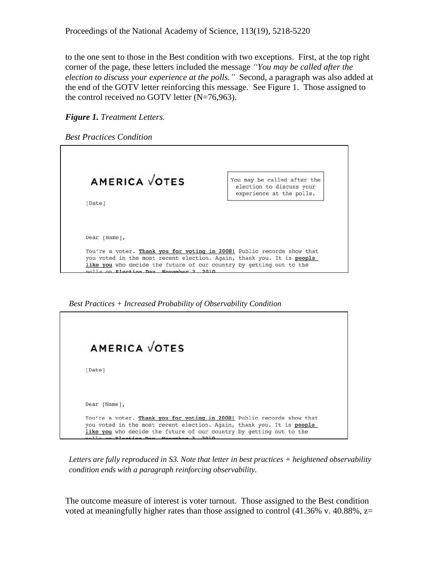to the one sent to those in the Best condition with two exceptions. First, at the top right corner of the page, these letters included the message *"You may be called after the election to discuss your experience at the polls."* Second, a paragraph was also added at the end of the GOTV letter reinforcing this message. See Figure 1. Those assigned to the control received no GOTV letter (N=76,963).

*Figure 1. Treatment Letters.*

*Best Practices Condition*



*Best Practices + Increased Probability of Observability Condition*

| <b>AMERICA VOTES</b><br>[Date]                                                                                                                  | Dear [Name], |                                                                                                                |  |
|-------------------------------------------------------------------------------------------------------------------------------------------------|--------------|----------------------------------------------------------------------------------------------------------------|--|
|                                                                                                                                                 |              |                                                                                                                |  |
|                                                                                                                                                 |              |                                                                                                                |  |
|                                                                                                                                                 |              |                                                                                                                |  |
| You're a voter. Thank you for voting in 2008! Public records show that<br>you voted in the most recent election. Again, thank you. It is people |              | like you who decide the future of our country by getting out to the<br>polls on Flection Day, November 2, 2010 |  |

*Letters are fully reproduced in S3. Note that letter in best practices + heightened observability condition ends with a paragraph reinforcing observability.*

The outcome measure of interest is voter turnout. Those assigned to the Best condition voted at meaningfully higher rates than those assigned to control  $(41.36\% \text{ v} \cdot 40.88\%, z=$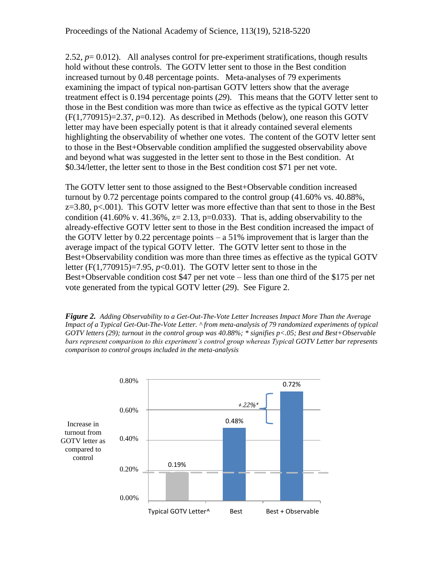2.52,  $p = 0.012$ ). All analyses control for pre-experiment stratifications, though results hold without these controls. The GOTV letter sent to those in the Best condition increased turnout by 0.48 percentage points. Meta-analyses of 79 experiments examining the impact of typical non-partisan GOTV letters show that the average treatment effect is 0.194 percentage points (*29*). This means that the GOTV letter sent to those in the Best condition was more than twice as effective as the typical GOTV letter  $(F(1,770915)=2.37, p=0.12)$ . As described in Methods (below), one reason this GOTV letter may have been especially potent is that it already contained several elements highlighting the observability of whether one votes. The content of the GOTV letter sent to those in the Best+Observable condition amplified the suggested observability above and beyond what was suggested in the letter sent to those in the Best condition. At \$0.34/letter, the letter sent to those in the Best condition cost \$71 per net vote.

The GOTV letter sent to those assigned to the Best+Observable condition increased turnout by 0.72 percentage points compared to the control group (41.60% vs. 40.88%,  $z=3.80$ ,  $p<.001$ ). This GOTV letter was more effective than that sent to those in the Best condition (41.60% v. 41.36%,  $z = 2.13$ ,  $p=0.033$ ). That is, adding observability to the already-effective GOTV letter sent to those in the Best condition increased the impact of the GOTV letter by 0.22 percentage points  $- a 51\%$  improvement that is larger than the average impact of the typical GOTV letter. The GOTV letter sent to those in the Best+Observability condition was more than three times as effective as the typical GOTV letter  $(F(1,770915)=7.95, p<0.01)$ . The GOTV letter sent to those in the Best+Observable condition cost \$47 per net vote – less than one third of the \$175 per net vote generated from the typical GOTV letter (*29*). See Figure 2.

*Figure 2. Adding Observability to a Get-Out-The-Vote Letter Increases Impact More Than the Average Impact of a Typical Get-Out-The-Vote Letter. ^ from meta-analysis of 79 randomized experiments of typical GOTV letters (29); turnout in the control group was 40.88%; \* signifies p<.05; Best and Best+Observable bars represent comparison to this experiment's control group whereas Typical GOTV Letter bar represents comparison to control groups included in the meta-analysis* 

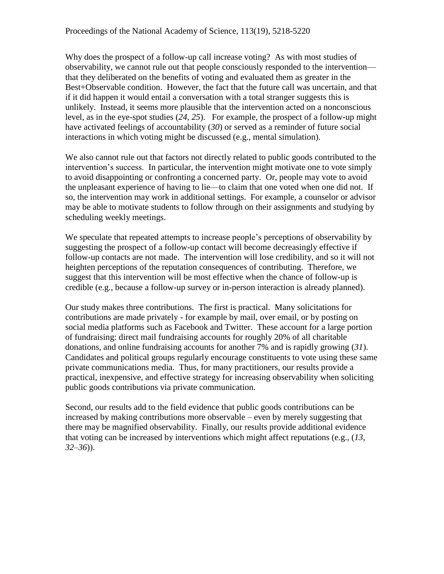Why does the prospect of a follow-up call increase voting? As with most studies of observability, we cannot rule out that people consciously responded to the intervention that they deliberated on the benefits of voting and evaluated them as greater in the Best+Observable condition. However, the fact that the future call was uncertain, and that if it did happen it would entail a conversation with a total stranger suggests this is unlikely. Instead, it seems more plausible that the intervention acted on a nonconscious level, as in the eye-spot studies (*24*, *25*). For example, the prospect of a follow-up might have activated feelings of accountability (*30*) or served as a reminder of future social interactions in which voting might be discussed (e.g., mental simulation).

We also cannot rule out that factors not directly related to public goods contributed to the intervention's success. In particular, the intervention might motivate one to vote simply to avoid disappointing or confronting a concerned party. Or, people may vote to avoid the unpleasant experience of having to lie—to claim that one voted when one did not. If so, the intervention may work in additional settings. For example, a counselor or advisor may be able to motivate students to follow through on their assignments and studying by scheduling weekly meetings.

We speculate that repeated attempts to increase people's perceptions of observability by suggesting the prospect of a follow-up contact will become decreasingly effective if follow-up contacts are not made. The intervention will lose credibility, and so it will not heighten perceptions of the reputation consequences of contributing. Therefore, we suggest that this intervention will be most effective when the chance of follow-up is credible (e.g., because a follow-up survey or in-person interaction is already planned).

Our study makes three contributions. The first is practical. Many solicitations for contributions are made privately - for example by mail, over email, or by posting on social media platforms such as Facebook and Twitter. These account for a large portion of fundraising: direct mail fundraising accounts for roughly 20% of all charitable donations, and online fundraising accounts for another 7% and is rapidly growing (*31*). Candidates and political groups regularly encourage constituents to vote using these same private communications media. Thus, for many practitioners, our results provide a practical, inexpensive, and effective strategy for increasing observability when soliciting public goods contributions via private communication.

Second, our results add to the field evidence that public goods contributions can be increased by making contributions more observable – even by merely suggesting that there may be magnified observability. Finally, our results provide additional evidence that voting can be increased by interventions which might affect reputations (e.g., (*13*, *32*–*36*)).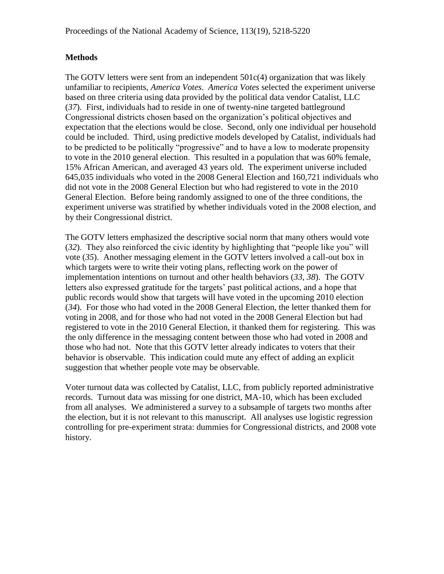### **Methods**

The GOTV letters were sent from an independent  $501c(4)$  organization that was likely unfamiliar to recipients, *America Votes*. *America Votes* selected the experiment universe based on three criteria using data provided by the political data vendor Catalist, LLC (*37*). First, individuals had to reside in one of twenty-nine targeted battleground Congressional districts chosen based on the organization's political objectives and expectation that the elections would be close. Second, only one individual per household could be included. Third, using predictive models developed by Catalist, individuals had to be predicted to be politically "progressive" and to have a low to moderate propensity to vote in the 2010 general election. This resulted in a population that was 60% female, 15% African American, and averaged 43 years old. The experiment universe included 645,035 individuals who voted in the 2008 General Election and 160,721 individuals who did not vote in the 2008 General Election but who had registered to vote in the 2010 General Election. Before being randomly assigned to one of the three conditions, the experiment universe was stratified by whether individuals voted in the 2008 election, and by their Congressional district.

The GOTV letters emphasized the descriptive social norm that many others would vote (*32*). They also reinforced the civic identity by highlighting that "people like you" will vote (*35*). Another messaging element in the GOTV letters involved a call-out box in which targets were to write their voting plans, reflecting work on the power of implementation intentions on turnout and other health behaviors (*33*, *38*). The GOTV letters also expressed gratitude for the targets' past political actions, and a hope that public records would show that targets will have voted in the upcoming 2010 election (*34*). For those who had voted in the 2008 General Election, the letter thanked them for voting in 2008, and for those who had not voted in the 2008 General Election but had registered to vote in the 2010 General Election, it thanked them for registering. This was the only difference in the messaging content between those who had voted in 2008 and those who had not. Note that this GOTV letter already indicates to voters that their behavior is observable. This indication could mute any effect of adding an explicit suggestion that whether people vote may be observable.

Voter turnout data was collected by Catalist, LLC, from publicly reported administrative records. Turnout data was missing for one district, MA-10, which has been excluded from all analyses. We administered a survey to a subsample of targets two months after the election, but it is not relevant to this manuscript. All analyses use logistic regression controlling for pre-experiment strata: dummies for Congressional districts, and 2008 vote history.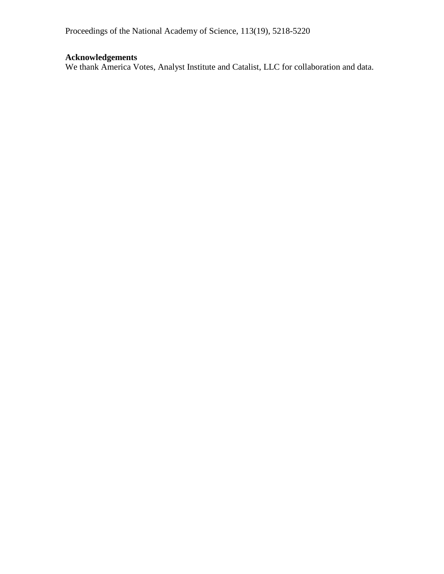Proceedings of the National Academy of Science, 113(19), 5218-5220

# **Acknowledgements**

We thank America Votes, Analyst Institute and Catalist, LLC for collaboration and data.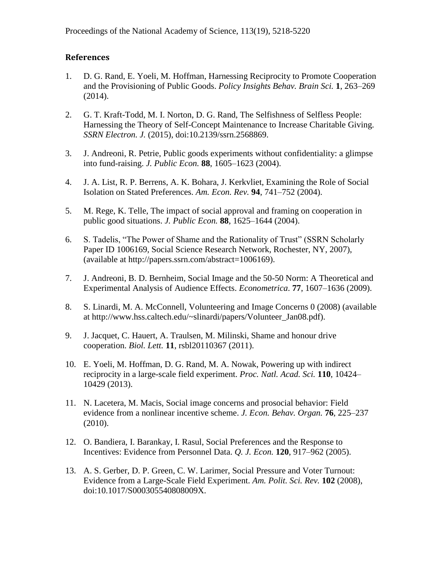## **References**

- 1. D. G. Rand, E. Yoeli, M. Hoffman, Harnessing Reciprocity to Promote Cooperation and the Provisioning of Public Goods. *Policy Insights Behav. Brain Sci.* **1**, 263–269 (2014).
- 2. G. T. Kraft-Todd, M. I. Norton, D. G. Rand, The Selfishness of Selfless People: Harnessing the Theory of Self-Concept Maintenance to Increase Charitable Giving. *SSRN Electron. J.* (2015), doi:10.2139/ssrn.2568869.
- 3. J. Andreoni, R. Petrie, Public goods experiments without confidentiality: a glimpse into fund-raising. *J. Public Econ.* **88**, 1605–1623 (2004).
- 4. J. A. List, R. P. Berrens, A. K. Bohara, J. Kerkvliet, Examining the Role of Social Isolation on Stated Preferences. *Am. Econ. Rev.* **94**, 741–752 (2004).
- 5. M. Rege, K. Telle, The impact of social approval and framing on cooperation in public good situations. *J. Public Econ.* **88**, 1625–1644 (2004).
- 6. S. Tadelis, "The Power of Shame and the Rationality of Trust" (SSRN Scholarly Paper ID 1006169, Social Science Research Network, Rochester, NY, 2007), (available at http://papers.ssrn.com/abstract=1006169).
- 7. J. Andreoni, B. D. Bernheim, Social Image and the 50-50 Norm: A Theoretical and Experimental Analysis of Audience Effects. *Econometrica*. **77**, 1607–1636 (2009).
- 8. S. Linardi, M. A. McConnell, Volunteering and Image Concerns 0 (2008) (available at http://www.hss.caltech.edu/~slinardi/papers/Volunteer\_Jan08.pdf).
- 9. J. Jacquet, C. Hauert, A. Traulsen, M. Milinski, Shame and honour drive cooperation. *Biol. Lett.* **11**, rsbl20110367 (2011).
- 10. E. Yoeli, M. Hoffman, D. G. Rand, M. A. Nowak, Powering up with indirect reciprocity in a large-scale field experiment. *Proc. Natl. Acad. Sci.* **110**, 10424– 10429 (2013).
- 11. N. Lacetera, M. Macis, Social image concerns and prosocial behavior: Field evidence from a nonlinear incentive scheme. *J. Econ. Behav. Organ.* **76**, 225–237 (2010).
- 12. O. Bandiera, I. Barankay, I. Rasul, Social Preferences and the Response to Incentives: Evidence from Personnel Data. *Q. J. Econ.* **120**, 917–962 (2005).
- 13. A. S. Gerber, D. P. Green, C. W. Larimer, Social Pressure and Voter Turnout: Evidence from a Large-Scale Field Experiment. *Am. Polit. Sci. Rev.* **102** (2008), doi:10.1017/S000305540808009X.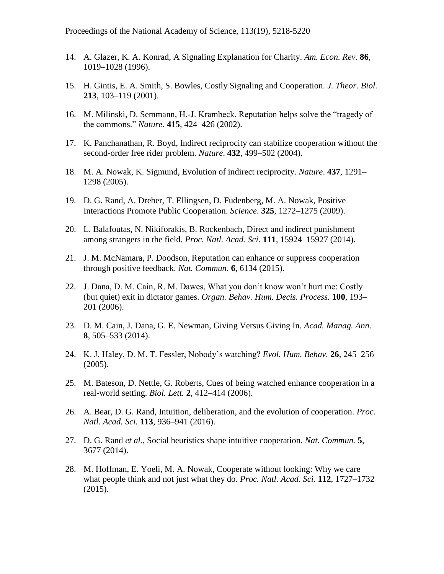- 14. A. Glazer, K. A. Konrad, A Signaling Explanation for Charity. *Am. Econ. Rev.* **86**, 1019–1028 (1996).
- 15. H. Gintis, E. A. Smith, S. Bowles, Costly Signaling and Cooperation. *J. Theor. Biol.* **213**, 103–119 (2001).
- 16. M. Milinski, D. Semmann, H.-J. Krambeck, Reputation helps solve the "tragedy of the commons." *Nature*. **415**, 424–426 (2002).
- 17. K. Panchanathan, R. Boyd, Indirect reciprocity can stabilize cooperation without the second-order free rider problem. *Nature*. **432**, 499–502 (2004).
- 18. M. A. Nowak, K. Sigmund, Evolution of indirect reciprocity. *Nature*. **437**, 1291– 1298 (2005).
- 19. D. G. Rand, A. Dreber, T. Ellingsen, D. Fudenberg, M. A. Nowak, Positive Interactions Promote Public Cooperation. *Science*. **325**, 1272–1275 (2009).
- 20. L. Balafoutas, N. Nikiforakis, B. Rockenbach, Direct and indirect punishment among strangers in the field. *Proc. Natl. Acad. Sci.* **111**, 15924–15927 (2014).
- 21. J. M. McNamara, P. Doodson, Reputation can enhance or suppress cooperation through positive feedback. *Nat. Commun.* **6**, 6134 (2015).
- 22. J. Dana, D. M. Cain, R. M. Dawes, What you don't know won't hurt me: Costly (but quiet) exit in dictator games. *Organ. Behav. Hum. Decis. Process.* **100**, 193– 201 (2006).
- 23. D. M. Cain, J. Dana, G. E. Newman, Giving Versus Giving In. *Acad. Manag. Ann.* **8**, 505–533 (2014).
- 24. K. J. Haley, D. M. T. Fessler, Nobody's watching? *Evol. Hum. Behav.* **26**, 245–256 (2005).
- 25. M. Bateson, D. Nettle, G. Roberts, Cues of being watched enhance cooperation in a real-world setting. *Biol. Lett.* **2**, 412–414 (2006).
- 26. A. Bear, D. G. Rand, Intuition, deliberation, and the evolution of cooperation. *Proc. Natl. Acad. Sci.* **113**, 936–941 (2016).
- 27. D. G. Rand *et al.*, Social heuristics shape intuitive cooperation. *Nat. Commun.* **5**, 3677 (2014).
- 28. M. Hoffman, E. Yoeli, M. A. Nowak, Cooperate without looking: Why we care what people think and not just what they do. *Proc. Natl. Acad. Sci.* **112**, 1727–1732 (2015).